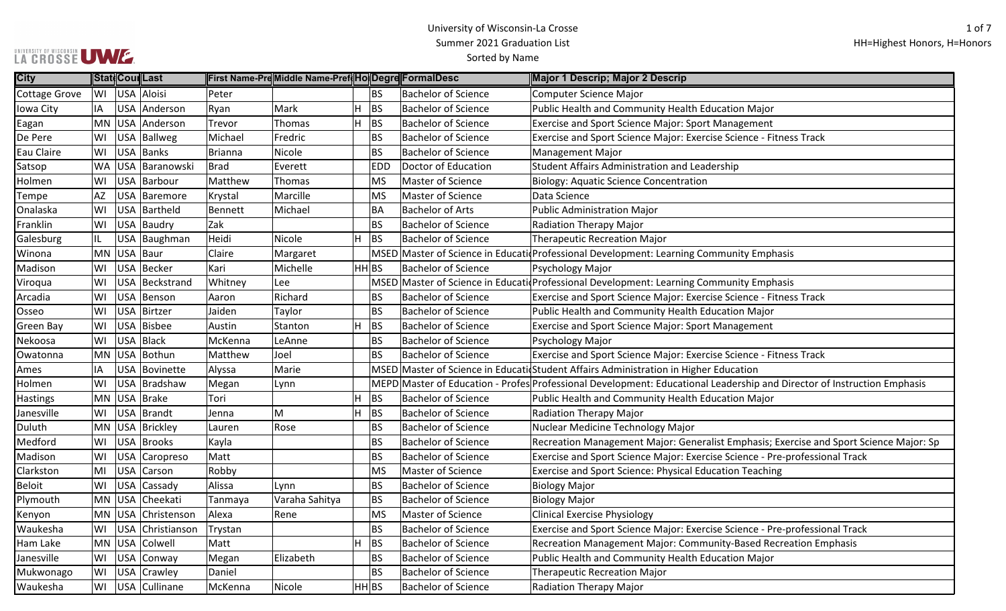| City             |    | Stat Cour Last     |                | First Name-PreMiddle Name-Pref HolDegre FormalDesc |       |            |                            | Major 1 Descrip; Major 2 Descrip                                                                                        |
|------------------|----|--------------------|----------------|----------------------------------------------------|-------|------------|----------------------------|-------------------------------------------------------------------------------------------------------------------------|
| Cottage Grove    |    | WI USA Aloisi      | Peter          |                                                    |       | <b>BS</b>  | <b>Bachelor of Science</b> | <b>Computer Science Major</b>                                                                                           |
| Iowa City        | IA | USA Anderson       | Ryan           | Mark                                               | H     | <b>BS</b>  | <b>Bachelor of Science</b> | Public Health and Community Health Education Major                                                                      |
| Eagan            |    | MN USA Anderson    | Trevor         | Thomas                                             | H.    | <b>BS</b>  | <b>Bachelor of Science</b> | Exercise and Sport Science Major: Sport Management                                                                      |
| De Pere          | WI | USA Ballweg        | Michael        | Fredric                                            |       | <b>BS</b>  | <b>Bachelor of Science</b> | Exercise and Sport Science Major: Exercise Science - Fitness Track                                                      |
| Eau Claire       | WI | USA Banks          | Brianna        | Nicole                                             |       | <b>BS</b>  | <b>Bachelor of Science</b> | <b>Management Major</b>                                                                                                 |
| Satsop           |    | WA USA Baranowski  | <b>Brad</b>    | Everett                                            |       | <b>EDD</b> | Doctor of Education        | Student Affairs Administration and Leadership                                                                           |
| Holmen           | WI | USA Barbour        | Matthew        | Thomas                                             |       | <b>MS</b>  | <b>Master of Science</b>   | <b>Biology: Aquatic Science Concentration</b>                                                                           |
| Tempe            | AZ | USA Baremore       | Krystal        | Marcille                                           |       | <b>MS</b>  | Master of Science          | Data Science                                                                                                            |
| Onalaska         | WI | USA Bartheld       | <b>Bennett</b> | Michael                                            |       | <b>BA</b>  | <b>Bachelor of Arts</b>    | <b>Public Administration Major</b>                                                                                      |
| Franklin         |    | WI USA Baudry      | Zak            |                                                    |       | <b>BS</b>  | <b>Bachelor of Science</b> | <b>Radiation Therapy Major</b>                                                                                          |
| Galesburg        |    | USA Baughman       | Heidi          | Nicole                                             | H.    | <b>BS</b>  | <b>Bachelor of Science</b> | <b>Therapeutic Recreation Major</b>                                                                                     |
| Winona           |    | MN USA Baur        | Claire         | Margaret                                           |       |            |                            | MSED Master of Science in Educati Professional Development: Learning Community Emphasis                                 |
| Madison          | WI | USA Becker         | Kari           | Michelle                                           | HH BS |            | <b>Bachelor of Science</b> | Psychology Major                                                                                                        |
| Viroqua          | WI | USA Beckstrand     | Whitney        | Lee                                                |       |            |                            | MSED Master of Science in Educati Professional Development: Learning Community Emphasis                                 |
| Arcadia          | WI | USA Benson         | Aaron          | Richard                                            |       | <b>BS</b>  | <b>Bachelor of Science</b> | Exercise and Sport Science Major: Exercise Science - Fitness Track                                                      |
| Osseo            | WI | USA Birtzer        | Jaiden         | Taylor                                             |       | <b>BS</b>  | <b>Bachelor of Science</b> | Public Health and Community Health Education Major                                                                      |
| <b>Green Bay</b> | WI | USA Bisbee         | Austin         | Stanton                                            | H.    | <b>BS</b>  | <b>Bachelor of Science</b> | <b>Exercise and Sport Science Major: Sport Management</b>                                                               |
| Nekoosa          | WI | USA Black          | McKenna        | LeAnne                                             |       | <b>BS</b>  | <b>Bachelor of Science</b> | Psychology Major                                                                                                        |
| Owatonna         |    | MN USA Bothun      | Matthew        | Joel                                               |       | <b>BS</b>  | <b>Bachelor of Science</b> | Exercise and Sport Science Major: Exercise Science - Fitness Track                                                      |
| Ames             | ΙA | USA Bovinette      | Alyssa         | Marie                                              |       |            |                            | MSED Master of Science in Educati Student Affairs Administration in Higher Education                                    |
| Holmen           | WI | USA Bradshaw       | Megan          | Lynn                                               |       |            |                            | MEPD Master of Education - Profes Professional Development: Educational Leadership and Director of Instruction Emphasis |
| <b>Hastings</b>  |    | MN USA Brake       | Tori           |                                                    | H     | <b>BS</b>  | <b>Bachelor of Science</b> | Public Health and Community Health Education Major                                                                      |
| Janesville       | WI | USA Brandt         | Jenna          | M                                                  | H     | <b>BS</b>  | <b>Bachelor of Science</b> | Radiation Therapy Major                                                                                                 |
| Duluth           |    | MN USA Brickley    | Lauren         | Rose                                               |       | <b>BS</b>  | <b>Bachelor of Science</b> | Nuclear Medicine Technology Major                                                                                       |
| Medford          | WI | USA Brooks         | Kayla          |                                                    |       | <b>BS</b>  | <b>Bachelor of Science</b> | Recreation Management Major: Generalist Emphasis; Exercise and Sport Science Major: Sp                                  |
| Madison          | WI | USA Caropreso      | Matt           |                                                    |       | <b>BS</b>  | <b>Bachelor of Science</b> | Exercise and Sport Science Major: Exercise Science - Pre-professional Track                                             |
| Clarkston        | MI | USA Carson         | Robby          |                                                    |       | <b>MS</b>  | Master of Science          | <b>Exercise and Sport Science: Physical Education Teaching</b>                                                          |
| <b>Beloit</b>    | WI | USA Cassady        | Alissa         | Lynn                                               |       | <b>BS</b>  | <b>Bachelor of Science</b> | <b>Biology Major</b>                                                                                                    |
| Plymouth         |    | MN USA Cheekati    | Tanmaya        | Varaha Sahitya                                     |       | <b>BS</b>  | <b>Bachelor of Science</b> | <b>Biology Major</b>                                                                                                    |
| Kenyon           |    | MN USA Christenson | Alexa          | Rene                                               |       | <b>MS</b>  | Master of Science          | <b>Clinical Exercise Physiology</b>                                                                                     |
| Waukesha         | WI | USA Christianson   | Trystan        |                                                    |       | <b>BS</b>  | <b>Bachelor of Science</b> | Exercise and Sport Science Major: Exercise Science - Pre-professional Track                                             |
| Ham Lake         |    | MN USA Colwell     | Matt           |                                                    | H     | BS         | <b>Bachelor of Science</b> | Recreation Management Major: Community-Based Recreation Emphasis                                                        |
| Janesville       | WI | USA Conway         | Megan          | Elizabeth                                          |       | <b>BS</b>  | <b>Bachelor of Science</b> | Public Health and Community Health Education Major                                                                      |
| Mukwonago        | WI | USA Crawley        | Daniel         |                                                    |       | <b>BS</b>  | <b>Bachelor of Science</b> | <b>Therapeutic Recreation Major</b>                                                                                     |
| Waukesha         |    | WI USA Cullinane   | McKenna        | Nicole                                             | HH BS |            | <b>Bachelor of Science</b> | Radiation Therapy Major                                                                                                 |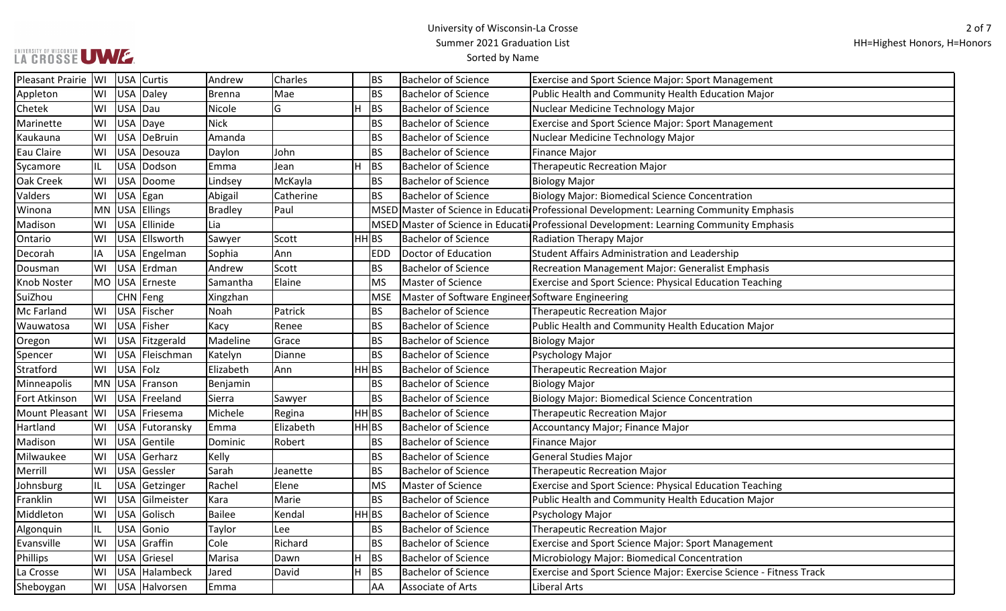# UWWERSITY OF WISCONSIN UWW

| Pleasant Prairie   WI |     | USA Curtis       | Andrew         | Charles   |                    | BS         | <b>Bachelor of Science</b>                       | <b>Exercise and Sport Science Major: Sport Management</b>                               |
|-----------------------|-----|------------------|----------------|-----------|--------------------|------------|--------------------------------------------------|-----------------------------------------------------------------------------------------|
| Appleton              | lwı | USA Daley        | <b>Brenna</b>  | Mae       |                    | BS         | <b>Bachelor of Science</b>                       | Public Health and Community Health Education Major                                      |
| Chetek                | WI  | USA Dau          | Nicole         | G         | H                  | <b>BS</b>  | <b>Bachelor of Science</b>                       | Nuclear Medicine Technology Major                                                       |
| Marinette             | WI  | USA Daye         | Nick           |           |                    | BS         | <b>Bachelor of Science</b>                       | Exercise and Sport Science Major: Sport Management                                      |
| Kaukauna              | WI  | USA DeBruin      | Amanda         |           |                    | BS         | <b>Bachelor of Science</b>                       | Nuclear Medicine Technology Major                                                       |
| Eau Claire            | WI  | USA Desouza      | Daylon         | John      |                    | BS         | <b>Bachelor of Science</b>                       | <b>Finance Major</b>                                                                    |
| Sycamore              |     | USA Dodson       | Emma           | Jean      | H                  | BS         | <b>Bachelor of Science</b>                       | <b>Therapeutic Recreation Major</b>                                                     |
| Oak Creek             | WI  | USA Doome        | Lindsey        | McKayla   |                    | BS         | <b>Bachelor of Science</b>                       | <b>Biology Major</b>                                                                    |
| Valders               | WI  | USA Egan         | Abigail        | Catherine |                    | BS         | <b>Bachelor of Science</b>                       | <b>Biology Major: Biomedical Science Concentration</b>                                  |
| Winona                |     | MN USA Ellings   | <b>Bradley</b> | Paul      |                    |            |                                                  | MSED Master of Science in Educati Professional Development: Learning Community Emphasis |
| Madison               | WI  | USA Ellinide     | Lia            |           |                    |            |                                                  | MSED Master of Science in Educati Professional Development: Learning Community Emphasis |
| Ontario               | WI  | USA Ellsworth    | Sawyer         | Scott     | HH BS              |            | <b>Bachelor of Science</b>                       | <b>Radiation Therapy Major</b>                                                          |
| Decorah               | IA  | USA Engelman     | Sophia         | Ann       |                    | <b>EDD</b> | Doctor of Education                              | Student Affairs Administration and Leadership                                           |
| Dousman               | WI  | USA Erdman       | Andrew         | Scott     |                    | BS         | <b>Bachelor of Science</b>                       | Recreation Management Major: Generalist Emphasis                                        |
| Knob Noster           |     | MO  USA  Erneste | Samantha       | Elaine    |                    | <b>MS</b>  | Master of Science                                | Exercise and Sport Science: Physical Education Teaching                                 |
| SuiZhou               |     | CHN   Feng       | Xingzhan       |           |                    | <b>MSE</b> | Master of Software Engineer Software Engineering |                                                                                         |
| Mc Farland            | WI  | USA Fischer      | Noah           | Patrick   |                    | BS         | <b>Bachelor of Science</b>                       | <b>Therapeutic Recreation Major</b>                                                     |
| Wauwatosa             | WI  | USA Fisher       | Kacy           | Renee     |                    | BS         | <b>Bachelor of Science</b>                       | Public Health and Community Health Education Major                                      |
| Oregon                | WI  | USA Fitzgerald   | Madeline       | Grace     |                    | BS         | <b>Bachelor of Science</b>                       | <b>Biology Major</b>                                                                    |
| Spencer               | WI  | USA Fleischman   | Katelyn        | Dianne    |                    | BS         | <b>Bachelor of Science</b>                       | Psychology Major                                                                        |
| Stratford             | WI  | USA Folz         | Elizabeth      | Ann       | HH BS              |            | <b>Bachelor of Science</b>                       | <b>Therapeutic Recreation Major</b>                                                     |
| Minneapolis           |     | MN USA Franson   | Benjamin       |           |                    | BS         | <b>Bachelor of Science</b>                       | <b>Biology Major</b>                                                                    |
| Fort Atkinson         | WI  | USA Freeland     | Sierra         | Sawyer    |                    | BS         | <b>Bachelor of Science</b>                       | <b>Biology Major: Biomedical Science Concentration</b>                                  |
| Mount Pleasant        | WI  | USA Friesema     | Michele        | Regina    | $HH$ <sub>BS</sub> |            | <b>Bachelor of Science</b>                       | <b>Therapeutic Recreation Major</b>                                                     |
| Hartland              | WI  | USA Futoransky   | Emma           | Elizabeth | $HH$ <sub>BS</sub> |            | <b>Bachelor of Science</b>                       | Accountancy Major; Finance Major                                                        |
| Madison               | WI  | USA Gentile      | Dominic        | Robert    |                    | BS         | <b>Bachelor of Science</b>                       | <b>Finance Major</b>                                                                    |
| Milwaukee             | WI  | USA Gerharz      | Kelly          |           |                    | BS         | <b>Bachelor of Science</b>                       | <b>General Studies Major</b>                                                            |
| Merrill               | WI  | USA Gessler      | Sarah          | Jeanette  |                    | BS         | <b>Bachelor of Science</b>                       | <b>Therapeutic Recreation Major</b>                                                     |
| Johnsburg             |     | USA Getzinger    | Rachel         | Elene     |                    | MS         | Master of Science                                | Exercise and Sport Science: Physical Education Teaching                                 |
| Franklin              | WI  | USA Gilmeister   | Kara           | Marie     |                    | BS         | <b>Bachelor of Science</b>                       | Public Health and Community Health Education Major                                      |
| Middleton             | WI  | USA Golisch      | Bailee         | Kendal    | HH BS              |            | <b>Bachelor of Science</b>                       | Psychology Major                                                                        |
| Algonquin             |     | USA Gonio        | Taylor         | Lee       |                    | BS         | <b>Bachelor of Science</b>                       | <b>Therapeutic Recreation Major</b>                                                     |
| Evansville            | WI  | USA Graffin      | Cole           | Richard   |                    | BS         | <b>Bachelor of Science</b>                       | Exercise and Sport Science Major: Sport Management                                      |
| Phillips              | WI  | USA Griesel      | Marisa         | Dawn      | H                  | BS         | <b>Bachelor of Science</b>                       | Microbiology Major: Biomedical Concentration                                            |
| La Crosse             | WI  | USA Halambeck    | Jared          | David     | H                  | <b>BS</b>  | <b>Bachelor of Science</b>                       | Exercise and Sport Science Major: Exercise Science - Fitness Track                      |
| Sheboygan             | WI  | USA Halvorsen    | Emma           |           |                    | AA         | Associate of Arts                                | Liberal Arts                                                                            |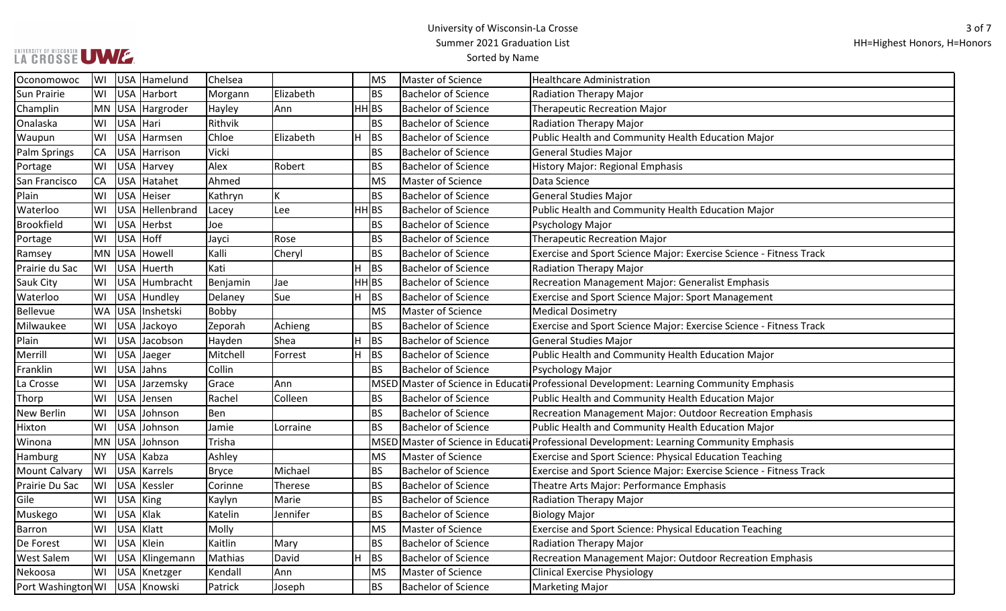## LA CROSSE UMZ

| Oconomowoc           | WI        |            | USA Hamelund     | Chelsea      |           |                    | MS        | Master of Science          | <b>Healthcare Administration</b>                                                        |
|----------------------|-----------|------------|------------------|--------------|-----------|--------------------|-----------|----------------------------|-----------------------------------------------------------------------------------------|
| <b>Sun Prairie</b>   | WI        |            | USA Harbort      | Morgann      | Elizabeth |                    | <b>BS</b> | <b>Bachelor of Science</b> | Radiation Therapy Major                                                                 |
| Champlin             |           |            | MN USA Hargroder | Hayley       | Ann       | $HH$ <sub>BS</sub> |           | <b>Bachelor of Science</b> | Therapeutic Recreation Major                                                            |
| Onalaska             | WI        | USA Hari   |                  | Rithvik      |           |                    | <b>BS</b> | <b>Bachelor of Science</b> | Radiation Therapy Major                                                                 |
| Waupun               | lwı       |            | USA Harmsen      | Chloe        | Elizabeth | H                  | <b>BS</b> | <b>Bachelor of Science</b> | Public Health and Community Health Education Major                                      |
| Palm Springs         | CA        |            | USA Harrison     | Vicki        |           |                    | BS        | <b>Bachelor of Science</b> | General Studies Major                                                                   |
| Portage              | WI        |            | USA Harvey       | Alex         | Robert    |                    | <b>BS</b> | <b>Bachelor of Science</b> | <b>History Major: Regional Emphasis</b>                                                 |
| San Francisco        | CA        |            | USA Hatahet      | Ahmed        |           |                    | MS        | Master of Science          | Data Science                                                                            |
| Plain                | WI        |            | USA Heiser       | Kathryn      |           |                    | <b>BS</b> | <b>Bachelor of Science</b> | General Studies Major                                                                   |
| Waterloo             | WI        |            | USA Hellenbrand  | Lacey        | Lee       | HH BS              |           | <b>Bachelor of Science</b> | Public Health and Community Health Education Major                                      |
| <b>Brookfield</b>    | WI        |            | USA Herbst       | Joe          |           |                    | BS        | <b>Bachelor of Science</b> | Psychology Major                                                                        |
| Portage              | WI        | USA Hoff   |                  | Jayci        | Rose      |                    | <b>BS</b> | <b>Bachelor of Science</b> | <b>Therapeutic Recreation Major</b>                                                     |
| Ramsey               | MN        | <b>USA</b> | Howell           | Kalli        | Cheryl    |                    | <b>BS</b> | <b>Bachelor of Science</b> | Exercise and Sport Science Major: Exercise Science - Fitness Track                      |
| Prairie du Sac       | WI        | <b>USA</b> | Huerth           | Kati         |           | $\overline{H}$     | <b>BS</b> | <b>Bachelor of Science</b> | Radiation Therapy Major                                                                 |
| <b>Sauk City</b>     | WI        |            | USA Humbracht    | Benjamin     | Jae       | $HH$ <sub>BS</sub> |           | <b>Bachelor of Science</b> | Recreation Management Major: Generalist Emphasis                                        |
| Waterloo             | WI        |            | USA Hundley      | Delaney      | Sue       | H                  | <b>BS</b> | <b>Bachelor of Science</b> | <b>Exercise and Sport Science Major: Sport Management</b>                               |
| Bellevue             | <b>WA</b> | <b>USA</b> | Inshetski        | Bobby        |           |                    | MS        | Master of Science          | <b>Medical Dosimetry</b>                                                                |
| Milwaukee            | WI        |            | USA Jackoyo      | Zeporah      | Achieng   |                    | <b>BS</b> | <b>Bachelor of Science</b> | Exercise and Sport Science Major: Exercise Science - Fitness Track                      |
| Plain                | WI        |            | USA Jacobson     | Hayden       | Shea      | H                  | <b>BS</b> | <b>Bachelor of Science</b> | <b>General Studies Major</b>                                                            |
| Merrill              | WI        |            | USA Jaeger       | Mitchell     | Forrest   | H                  | <b>BS</b> | <b>Bachelor of Science</b> | Public Health and Community Health Education Major                                      |
| Franklin             | WI        |            | USA Jahns        | Collin       |           |                    | <b>BS</b> | <b>Bachelor of Science</b> | Psychology Major                                                                        |
| La Crosse            | WI        |            | USA Jarzemsky    | Grace        | Ann       |                    |           |                            | MSED Master of Science in Educati Professional Development: Learning Community Emphasis |
| Thorp                | WI        |            | USA Jensen       | Rachel       | Colleen   |                    | <b>BS</b> | <b>Bachelor of Science</b> | Public Health and Community Health Education Major                                      |
| <b>New Berlin</b>    | WI        |            | USA Johnson      | Ben          |           |                    | <b>BS</b> | <b>Bachelor of Science</b> | Recreation Management Major: Outdoor Recreation Emphasis                                |
| Hixton               | WI        |            | USA Johnson      | Jamie        | Lorraine  |                    | <b>BS</b> | <b>Bachelor of Science</b> | Public Health and Community Health Education Major                                      |
| Winona               | MN        |            | USA Johnson      | Trisha       |           |                    |           |                            | MSED Master of Science in Educati Professional Development: Learning Community Emphasis |
| Hamburg              | NY        | <b>USA</b> | Kabza            | Ashley       |           |                    | MS        | Master of Science          | Exercise and Sport Science: Physical Education Teaching                                 |
| <b>Mount Calvary</b> | WI        |            | USA Karrels      | <b>Bryce</b> | Michael   |                    | <b>BS</b> | <b>Bachelor of Science</b> | Exercise and Sport Science Major: Exercise Science - Fitness Track                      |
| Prairie Du Sac       | WI        |            | USA Kessler      | Corinne      | Therese   |                    | <b>BS</b> | <b>Bachelor of Science</b> | Theatre Arts Major: Performance Emphasis                                                |
| Gile                 | WI        | USA King   |                  | Kaylyn       | Marie     |                    | BS        | <b>Bachelor of Science</b> | <b>Radiation Therapy Major</b>                                                          |
| Muskego              | lwı       | USA Klak   |                  | Katelin      | Jennifer  |                    | <b>BS</b> | <b>Bachelor of Science</b> | <b>Biology Major</b>                                                                    |
| Barron               | WI        |            | USA Klatt        | Molly        |           |                    | MS        | Master of Science          | Exercise and Sport Science: Physical Education Teaching                                 |
| De Forest            | WI        |            | USA Klein        | Kaitlin      | Mary      |                    | <b>BS</b> | <b>Bachelor of Science</b> | <b>Radiation Therapy Major</b>                                                          |
| <b>West Salem</b>    | WI        |            | USA Klingemann   | Mathias      | David     | H                  | <b>BS</b> | <b>Bachelor of Science</b> | Recreation Management Major: Outdoor Recreation Emphasis                                |
| Nekoosa              | WI        |            | USA Knetzger     | Kendall      | Ann       |                    | MS        | Master of Science          | <b>Clinical Exercise Physiology</b>                                                     |
| Port Washington WI   |           |            | USA Knowski      | Patrick      | Joseph    |                    | <b>BS</b> | <b>Bachelor of Science</b> | Marketing Major                                                                         |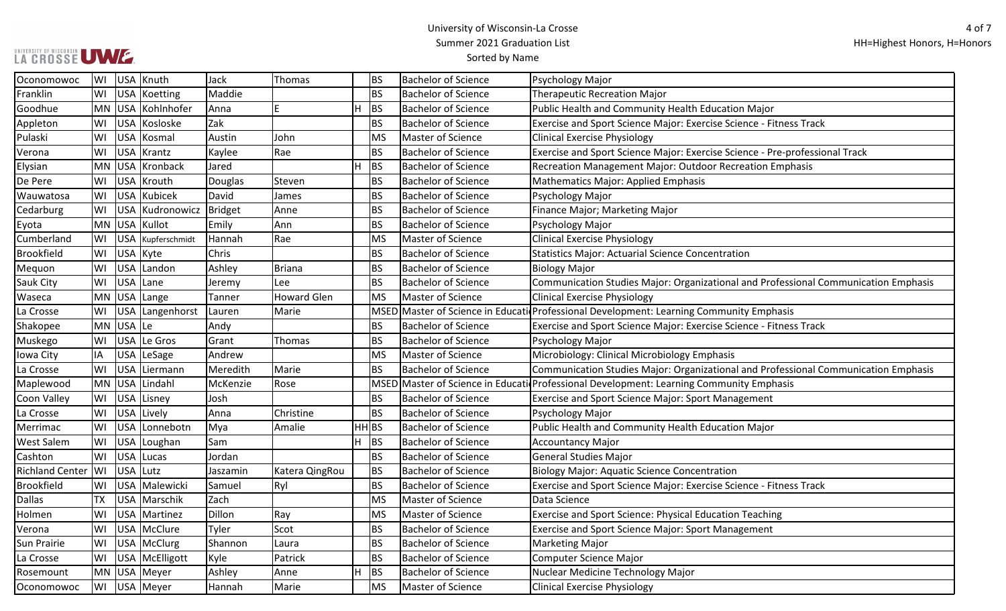## LA CROSSE UMZ

| Oconomowoc             | WI |           | USA Knuth         | Jack     | Thomas             | <b>BS</b>          | <b>Bachelor of Science</b> | Psychology Major                                                                        |
|------------------------|----|-----------|-------------------|----------|--------------------|--------------------|----------------------------|-----------------------------------------------------------------------------------------|
| Franklin               | WI |           | USA Koetting      | Maddie   |                    | <b>BS</b>          | <b>Bachelor of Science</b> | <b>Therapeutic Recreation Major</b>                                                     |
| Goodhue                |    |           | MN USA Kohlnhofer | Anna     | E                  | H<br><b>BS</b>     | <b>Bachelor of Science</b> | Public Health and Community Health Education Major                                      |
| Appleton               | WI |           | USA Kosloske      | Zak      |                    | <b>BS</b>          | <b>Bachelor of Science</b> | Exercise and Sport Science Major: Exercise Science - Fitness Track                      |
| Pulaski                | WI |           | USA Kosmal        | Austin   | John               | <b>MS</b>          | Master of Science          | <b>Clinical Exercise Physiology</b>                                                     |
| Verona                 | WI |           | USA Krantz        | Kaylee   | Rae                | <b>BS</b>          | <b>Bachelor of Science</b> | Exercise and Sport Science Major: Exercise Science - Pre-professional Track             |
| Elysian                |    |           | MN USA Kronback   | Jared    |                    | H<br><b>BS</b>     | <b>Bachelor of Science</b> | Recreation Management Major: Outdoor Recreation Emphasis                                |
| De Pere                | WI |           | USA Krouth        | Douglas  | Steven             | ΒS                 | <b>Bachelor of Science</b> | Mathematics Major: Applied Emphasis                                                     |
| Wauwatosa              | WI |           | USA Kubicek       | David    | James              | ВS                 | <b>Bachelor of Science</b> | Psychology Major                                                                        |
| Cedarburg              | WI |           | USA Kudronowicz   | Bridget  | Anne               | <b>BS</b>          | <b>Bachelor of Science</b> | Finance Major; Marketing Major                                                          |
| Eyota                  |    |           | MN USA Kullot     | Emily    | Ann                | <b>BS</b>          | <b>Bachelor of Science</b> | Psychology Major                                                                        |
| Cumberland             | WI |           | USA Kupferschmidt | Hannah   | Rae                | <b>MS</b>          | Master of Science          | <b>Clinical Exercise Physiology</b>                                                     |
| Brookfield             | WI | USA Kyte  |                   | Chris    |                    | <b>BS</b>          | <b>Bachelor of Science</b> | <b>Statistics Major: Actuarial Science Concentration</b>                                |
| Mequon                 | WI |           | USA Landon        | Ashley   | Briana             | ΒS                 | <b>Bachelor of Science</b> | <b>Biology Major</b>                                                                    |
| <b>Sauk City</b>       | WI | USA Lane  |                   | Jeremy   | Lee                | ВS                 | <b>Bachelor of Science</b> | Communication Studies Major: Organizational and Professional Communication Emphasis     |
| Waseca                 |    |           | MN USA Lange      | Tanner   | <b>Howard Glen</b> | <b>MS</b>          | Master of Science          | <b>Clinical Exercise Physiology</b>                                                     |
| La Crosse              | WI |           | USA Langenhorst   | Lauren   | Marie              |                    |                            | MSED Master of Science in Educati Professional Development: Learning Community Emphasis |
| Shakopee               |    | MN USA Le |                   | Andy     |                    | <b>BS</b>          | <b>Bachelor of Science</b> | Exercise and Sport Science Major: Exercise Science - Fitness Track                      |
| Muskego                | WI |           | USA Le Gros       | Grant    | Thomas             | ΒS                 | <b>Bachelor of Science</b> | Psychology Major                                                                        |
| Iowa City              | IA |           | USA LeSage        | Andrew   |                    | <b>MS</b>          | Master of Science          | Microbiology: Clinical Microbiology Emphasis                                            |
| La Crosse              | WI |           | USA Liermann      | Meredith | Marie              | <b>BS</b>          | <b>Bachelor of Science</b> | Communication Studies Major: Organizational and Professional Communication Emphasis     |
| Maplewood              |    | MN USA    | Lindahl           | McKenzie | Rose               |                    |                            | MSED Master of Science in Educati Professional Development: Learning Community Emphasis |
| Coon Valley            | WI |           | USA Lisney        | Josh     |                    | <b>BS</b>          | <b>Bachelor of Science</b> | Exercise and Sport Science Major: Sport Management                                      |
| La Crosse              | WI |           | USA Lively        | Anna     | Christine          | <b>BS</b>          | <b>Bachelor of Science</b> | Psychology Major                                                                        |
| Merrimac               | WI |           | USA Lonnebotn     | Mya      | Amalie             | $HH$ <sub>BS</sub> | <b>Bachelor of Science</b> | Public Health and Community Health Education Major                                      |
| <b>West Salem</b>      | WI |           | USA Loughan       | Sam      |                    | H<br><b>BS</b>     | <b>Bachelor of Science</b> | <b>Accountancy Major</b>                                                                |
| Cashton                | WI |           | USA Lucas         | Jordan   |                    | <b>BS</b>          | <b>Bachelor of Science</b> | <b>General Studies Major</b>                                                            |
| <b>Richland Center</b> | WI | USA Lutz  |                   | Jaszamin | Katera QingRou     | <b>BS</b>          | <b>Bachelor of Science</b> | <b>Biology Major: Aquatic Science Concentration</b>                                     |
| Brookfield             | WI |           | USA Malewicki     | Samuel   | Ryl                | <b>BS</b>          | <b>Bachelor of Science</b> | Exercise and Sport Science Major: Exercise Science - Fitness Track                      |
| <b>Dallas</b>          | TX |           | USA Marschik      | Zach     |                    | <b>MS</b>          | Master of Science          | Data Science                                                                            |
| Holmen                 | WI |           | USA Martinez      | Dillon   | Ray                | <b>MS</b>          | Master of Science          | Exercise and Sport Science: Physical Education Teaching                                 |
| Verona                 | WI |           | USA   McClure     | Tyler    | Scot               | <b>BS</b>          | <b>Bachelor of Science</b> | <b>Exercise and Sport Science Major: Sport Management</b>                               |
| Sun Prairie            | WI |           | USA McClurg       | Shannon  | Laura              | <b>BS</b>          | <b>Bachelor of Science</b> | <b>Marketing Major</b>                                                                  |
| La Crosse              | WI |           | USA   McElligott  | Kyle     | Patrick            | <b>BS</b>          | <b>Bachelor of Science</b> | Computer Science Major                                                                  |
| Rosemount              |    |           | MN USA Meyer      | Ashley   | Anne               | H<br><b>BS</b>     | <b>Bachelor of Science</b> | Nuclear Medicine Technology Major                                                       |
| Oconomowoc             |    |           | WI USA Meyer      | Hannah   | Marie              | <b>MS</b>          | Master of Science          | <b>Clinical Exercise Physiology</b>                                                     |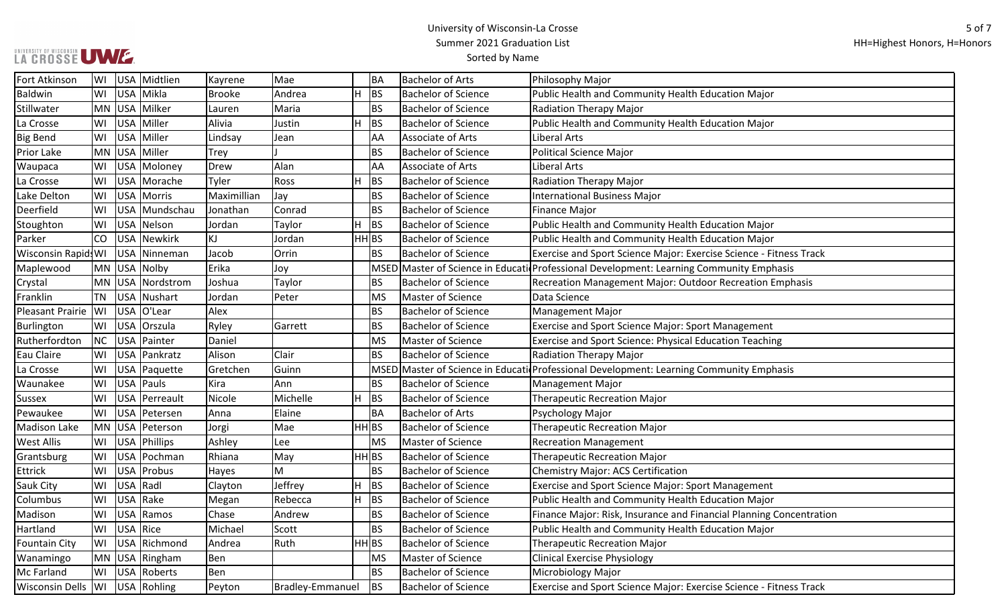### University of Wisconsin-La Crosse Summer 2021 Graduation List

## UNIVERSITY OF WISCONSIN<br>LA CROSSE UWE

## Sorted by Name

| Fort Atkinson                        |    |                 | WI USA Midtlien     | Kayrene       | Mae                     |    | <b>BA</b>          | Bachelor of Arts           | Philosophy Major                                                                        |
|--------------------------------------|----|-----------------|---------------------|---------------|-------------------------|----|--------------------|----------------------------|-----------------------------------------------------------------------------------------|
| Baldwin                              |    |                 | WI USA Mikla        | <b>Brooke</b> | Andrea                  | H. | <b>BS</b>          | <b>Bachelor of Science</b> | Public Health and Community Health Education Major                                      |
| Stillwater                           |    |                 | MN USA Milker       | Lauren        | Maria                   |    | <b>BS</b>          | <b>Bachelor of Science</b> | <b>Radiation Therapy Major</b>                                                          |
| La Crosse                            |    |                 | WI USA Miller       | Alivia        | Justin                  | H. | <b>BS</b>          | <b>Bachelor of Science</b> | Public Health and Community Health Education Major                                      |
| <b>Big Bend</b>                      |    |                 | WI USA Miller       | Lindsay       | Jean                    |    | AA                 | Associate of Arts          | Liberal Arts                                                                            |
| Prior Lake                           |    |                 | MN USA Miller       | <b>Trey</b>   |                         |    | <b>BS</b>          | <b>Bachelor of Science</b> | <b>Political Science Major</b>                                                          |
| Waupaca                              | WI |                 | USA Moloney         | Drew          | Alan                    |    | AA                 | Associate of Arts          | Liberal Arts                                                                            |
| La Crosse                            |    |                 | WI USA Morache      | Tyler         | Ross                    | H. | BS                 | <b>Bachelor of Science</b> | Radiation Therapy Major                                                                 |
| Lake Delton                          |    |                 | WI USA Morris       | Maximillian   | Jay                     |    | <b>BS</b>          | <b>Bachelor of Science</b> | <b>International Business Major</b>                                                     |
| Deerfield                            | WI |                 | USA Mundschau       | Jonathan      | Conrad                  |    | <b>BS</b>          | <b>Bachelor of Science</b> | <b>Finance Major</b>                                                                    |
| Stoughton                            | WI |                 | USA Nelson          | Jordan        | Taylor                  | H. | BS                 | <b>Bachelor of Science</b> | Public Health and Community Health Education Major                                      |
| Parker                               | CO |                 | USA Newkirk         | KJ            | Jordan                  |    | $HH$ <sub>BS</sub> | <b>Bachelor of Science</b> | Public Health and Community Health Education Major                                      |
| Wisconsin Rapid WI   USA   Ninneman  |    |                 |                     | Jacob         | Orrin                   |    | <b>BS</b>          | <b>Bachelor of Science</b> | Exercise and Sport Science Major: Exercise Science - Fitness Track                      |
| Maplewood                            |    |                 | MN USA Nolby        | Erika         | Joy                     |    |                    |                            | MSED Master of Science in Educati Professional Development: Learning Community Emphasis |
| Crystal                              |    |                 | MN USA Nordstrom    | Joshua        | Taylor                  |    | <b>BS</b>          | <b>Bachelor of Science</b> | Recreation Management Major: Outdoor Recreation Emphasis                                |
| Franklin                             |    |                 | TN USA Nushart      | Jordan        | Peter                   |    | <b>MS</b>          | Master of Science          | Data Science                                                                            |
| Pleasant Prairie   WI                |    |                 | USA O'Lear          | Alex          |                         |    | <b>BS</b>          | <b>Bachelor of Science</b> | <b>Management Major</b>                                                                 |
| Burlington                           |    |                 | WI   USA   Orszula  | Ryley         | Garrett                 |    | <b>BS</b>          | <b>Bachelor of Science</b> | <b>Exercise and Sport Science Major: Sport Management</b>                               |
| Rutherfordton                        |    |                 | NC   USA   Painter  | Daniel        |                         |    | <b>MS</b>          | Master of Science          | <b>Exercise and Sport Science: Physical Education Teaching</b>                          |
| Eau Claire                           |    |                 | WI USA Pankratz     | Alison        | Clair                   |    | <b>BS</b>          | <b>Bachelor of Science</b> | Radiation Therapy Major                                                                 |
| La Crosse                            |    |                 | WI   USA   Paquette | Gretchen      | Guinn                   |    |                    |                            | MSED Master of Science in Educati Professional Development: Learning Community Emphasis |
| Waunakee                             | WI |                 | USA Pauls           | Kira          | Ann                     |    | <b>BS</b>          | <b>Bachelor of Science</b> | Management Major                                                                        |
| <b>Sussex</b>                        | WI |                 | USA Perreault       | Nicole        | Michelle                | H. | <b>BS</b>          | <b>Bachelor of Science</b> | <b>Therapeutic Recreation Major</b>                                                     |
| Pewaukee                             | WI |                 | USA Petersen        | Anna          | Elaine                  |    | <b>BA</b>          | <b>Bachelor of Arts</b>    | Psychology Major                                                                        |
| Madison Lake                         |    |                 | MN USA Peterson     | Jorgi         | Mae                     |    | HH BS              | <b>Bachelor of Science</b> | <b>Therapeutic Recreation Major</b>                                                     |
| <b>West Allis</b>                    |    |                 | WI   USA   Phillips | Ashley        | Lee                     |    | <b>MS</b>          | Master of Science          | <b>Recreation Management</b>                                                            |
| Grantsburg                           |    |                 | WI USA Pochman      | Rhiana        | May                     |    | HH BS              | <b>Bachelor of Science</b> | <b>Therapeutic Recreation Major</b>                                                     |
| Ettrick                              | WI |                 | USA Probus          | Hayes         | M                       |    | <b>BS</b>          | <b>Bachelor of Science</b> | <b>Chemistry Major: ACS Certification</b>                                               |
| Sauk City                            | WI | USA Radl        |                     | Clayton       | Jeffrey                 | H. | <b>BS</b>          | <b>Bachelor of Science</b> | Exercise and Sport Science Major: Sport Management                                      |
| Columbus                             | WI |                 | USA Rake            | Megan         | Rebecca                 | H. | BS                 | <b>Bachelor of Science</b> | Public Health and Community Health Education Major                                      |
| Madison                              | WI |                 | USA Ramos           | Chase         | Andrew                  |    | <b>BS</b>          | <b>Bachelor of Science</b> | Finance Major: Risk, Insurance and Financial Planning Concentration                     |
| Hartland                             |    | WI   USA   Rice |                     | Michael       | Scott                   |    | <b>BS</b>          | <b>Bachelor of Science</b> | Public Health and Community Health Education Major                                      |
| <b>Fountain City</b>                 |    |                 | WI   USA   Richmond | Andrea        | Ruth                    |    | HH BS              | <b>Bachelor of Science</b> | <b>Therapeutic Recreation Major</b>                                                     |
| Wanamingo                            |    |                 | MN USA Ringham      | Ben           |                         |    | <b>MS</b>          | Master of Science          | <b>Clinical Exercise Physiology</b>                                                     |
| Mc Farland                           |    |                 | WI USA Roberts      | Ben           |                         |    | <b>BS</b>          | <b>Bachelor of Science</b> | Microbiology Major                                                                      |
| Wisconsin Dells   WI   USA   Rohling |    |                 |                     | Peyton        | <b>Bradley-Emmanuel</b> |    | <b>BS</b>          | <b>Bachelor of Science</b> | Exercise and Sport Science Major: Exercise Science - Fitness Track                      |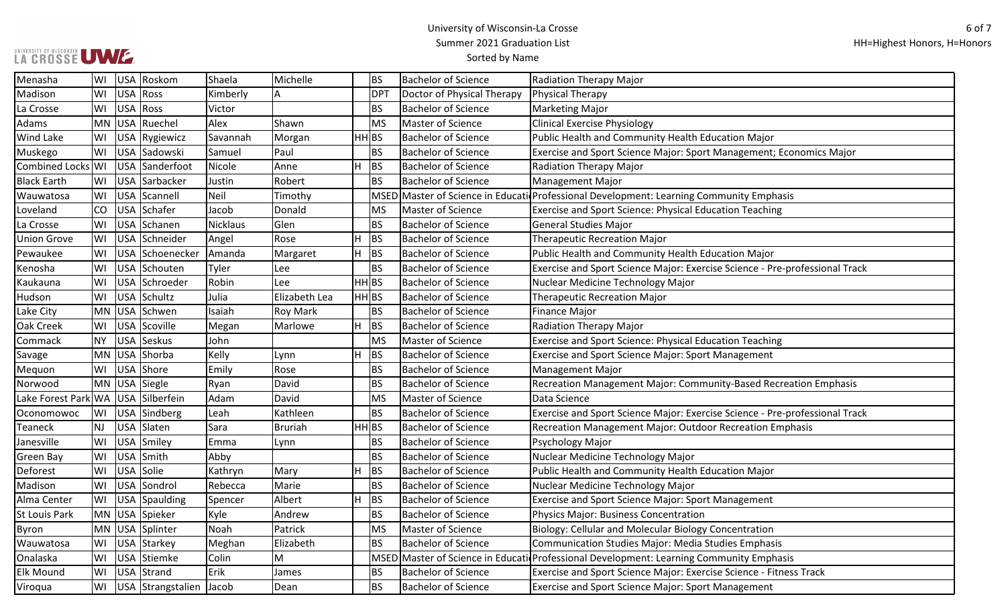# UWWERSITY OF WISCONSIN UWW

| Menasha                            | WI  | USA Roskom        | Shaela          | Michelle        |                    | <b>BS</b>   | <b>Bachelor of Science</b> | <b>Radiation Therapy Major</b>                                                          |
|------------------------------------|-----|-------------------|-----------------|-----------------|--------------------|-------------|----------------------------|-----------------------------------------------------------------------------------------|
| Madison                            | WI  | USA Ross          | Kimberly        | A               |                    | <b>DPT</b>  | Doctor of Physical Therapy | Physical Therapy                                                                        |
| La Crosse                          | WI  | USA Ross          | Victor          |                 |                    | <b>BS</b>   | <b>Bachelor of Science</b> | Marketing Major                                                                         |
| Adams                              |     | MN USA Ruechel    | Alex            | Shawn           |                    | <b>MS</b>   | Master of Science          | <b>Clinical Exercise Physiology</b>                                                     |
| <b>Wind Lake</b>                   | WI  | USA Rygiewicz     | Savannah        | Morgan          | HH BS              |             | <b>Bachelor of Science</b> | Public Health and Community Health Education Major                                      |
| Muskego                            | WI  | USA Sadowski      | Samuel          | Paul            |                    | <b>BS</b>   | <b>Bachelor of Science</b> | Exercise and Sport Science Major: Sport Management; Economics Major                     |
| Combined Locks WI                  |     | USA Sanderfoot    | Nicole          | Anne            | H.                 | <b>BS</b>   | <b>Bachelor of Science</b> | <b>Radiation Therapy Major</b>                                                          |
| <b>Black Earth</b>                 | WI  | USA Sarbacker     | Justin          | Robert          |                    | <b>BS</b>   | <b>Bachelor of Science</b> | <b>Management Major</b>                                                                 |
| Wauwatosa                          | WI  | USA Scannell      | <b>Neil</b>     | Timothy         |                    | <b>MSED</b> |                            | Master of Science in Educati Professional Development: Learning Community Emphasis      |
| Loveland                           | CO  | USA Schafer       | Jacob           | Donald          |                    | <b>MS</b>   | Master of Science          | Exercise and Sport Science: Physical Education Teaching                                 |
| La Crosse                          | WI  | USA Schanen       | <b>Nicklaus</b> | Glen            |                    | <b>BS</b>   | <b>Bachelor of Science</b> | <b>General Studies Major</b>                                                            |
| <b>Union Grove</b>                 | WI  | USA Schneider     | Angel           | Rose            | H                  | <b>BS</b>   | <b>Bachelor of Science</b> | <b>Therapeutic Recreation Major</b>                                                     |
| Pewaukee                           | WI  | USA Schoenecker   | Amanda          | Margaret        | H                  | <b>BS</b>   | <b>Bachelor of Science</b> | Public Health and Community Health Education Major                                      |
| Kenosha                            | WI  | USA Schouten      | Tyler           | Lee             |                    | <b>BS</b>   | <b>Bachelor of Science</b> | Exercise and Sport Science Major: Exercise Science - Pre-professional Track             |
| Kaukauna                           | WI  | USA Schroeder     | Robin           | Lee             | $HH$ <sub>BS</sub> |             | <b>Bachelor of Science</b> | Nuclear Medicine Technology Major                                                       |
| Hudson                             | WI  | USA Schultz       | Julia           | Elizabeth Lea   | $HH$ <sub>BS</sub> |             | <b>Bachelor of Science</b> | <b>Therapeutic Recreation Major</b>                                                     |
| Lake City                          |     | MN USA Schwen     | Isaiah          | <b>Roy Mark</b> |                    | BS          | <b>Bachelor of Science</b> | <b>Finance Major</b>                                                                    |
| Oak Creek                          | WI  | USA Scoville      | Megan           | Marlowe         | H.                 | <b>BS</b>   | <b>Bachelor of Science</b> | <b>Radiation Therapy Major</b>                                                          |
| Commack                            | NY. | USA Seskus        | John            |                 |                    | <b>MS</b>   | Master of Science          | Exercise and Sport Science: Physical Education Teaching                                 |
| Savage                             |     | MN USA Shorba     | Kelly           | Lynn            | H                  | <b>BS</b>   | <b>Bachelor of Science</b> | Exercise and Sport Science Major: Sport Management                                      |
| Mequon                             | WI  | USA Shore         | Emily           | Rose            |                    | <b>BS</b>   | <b>Bachelor of Science</b> | <b>Management Major</b>                                                                 |
| Norwood                            |     | MN USA Siegle     | Ryan            | David           |                    | <b>BS</b>   | <b>Bachelor of Science</b> | Recreation Management Major: Community-Based Recreation Emphasis                        |
| Lake Forest Park WA USA Silberfein |     |                   | Adam            | David           |                    | <b>MS</b>   | Master of Science          | Data Science                                                                            |
| Oconomowoc                         | WI  | USA Sindberg      | Leah            | Kathleen        |                    | <b>BS</b>   | <b>Bachelor of Science</b> | Exercise and Sport Science Major: Exercise Science - Pre-professional Track             |
| <b>Teaneck</b>                     | NJ  | USA Slaten        | Sara            | Bruriah         | HH BS              |             | <b>Bachelor of Science</b> | Recreation Management Major: Outdoor Recreation Emphasis                                |
| Janesville                         | WI  | USA Smiley        | Emma            | Lynn            |                    | BS          | <b>Bachelor of Science</b> | Psychology Major                                                                        |
| <b>Green Bay</b>                   | WI  | USA Smith         | Abby            |                 |                    | <b>BS</b>   | <b>Bachelor of Science</b> | Nuclear Medicine Technology Major                                                       |
| Deforest                           | WI  | USA Solie         | Kathryn         | Mary            | H                  | <b>BS</b>   | <b>Bachelor of Science</b> | Public Health and Community Health Education Major                                      |
| Madison                            | WI  | USA Sondrol       | Rebecca         | Marie           |                    | <b>BS</b>   | <b>Bachelor of Science</b> | Nuclear Medicine Technology Major                                                       |
| Alma Center                        | WI  | USA Spaulding     | Spencer         | Albert          | H                  | <b>BS</b>   | <b>Bachelor of Science</b> | Exercise and Sport Science Major: Sport Management                                      |
| <b>St Louis Park</b>               |     | MN USA Spieker    | Kyle            | Andrew          |                    | <b>BS</b>   | <b>Bachelor of Science</b> | Physics Major: Business Concentration                                                   |
| Byron                              |     | MN USA Splinter   | Noah            | Patrick         |                    | <b>MS</b>   | Master of Science          | Biology: Cellular and Molecular Biology Concentration                                   |
| Wauwatosa                          | WI  | USA Starkey       | Meghan          | Elizabeth       |                    | BS          | <b>Bachelor of Science</b> | <b>Communication Studies Major: Media Studies Emphasis</b>                              |
| Onalaska                           | WI  | USA Stiemke       | Colin           | M               |                    |             |                            | MSED Master of Science in Educati Professional Development: Learning Community Emphasis |
| <b>Elk Mound</b>                   | WI  | USA Strand        | Erik            | James           |                    | <b>BS</b>   | <b>Bachelor of Science</b> | Exercise and Sport Science Major: Exercise Science - Fitness Track                      |
| Viroqua                            | WI  | USA Strangstalien | Jacob           | Dean            |                    | <b>BS</b>   | Bachelor of Science        | Exercise and Sport Science Major: Sport Management                                      |